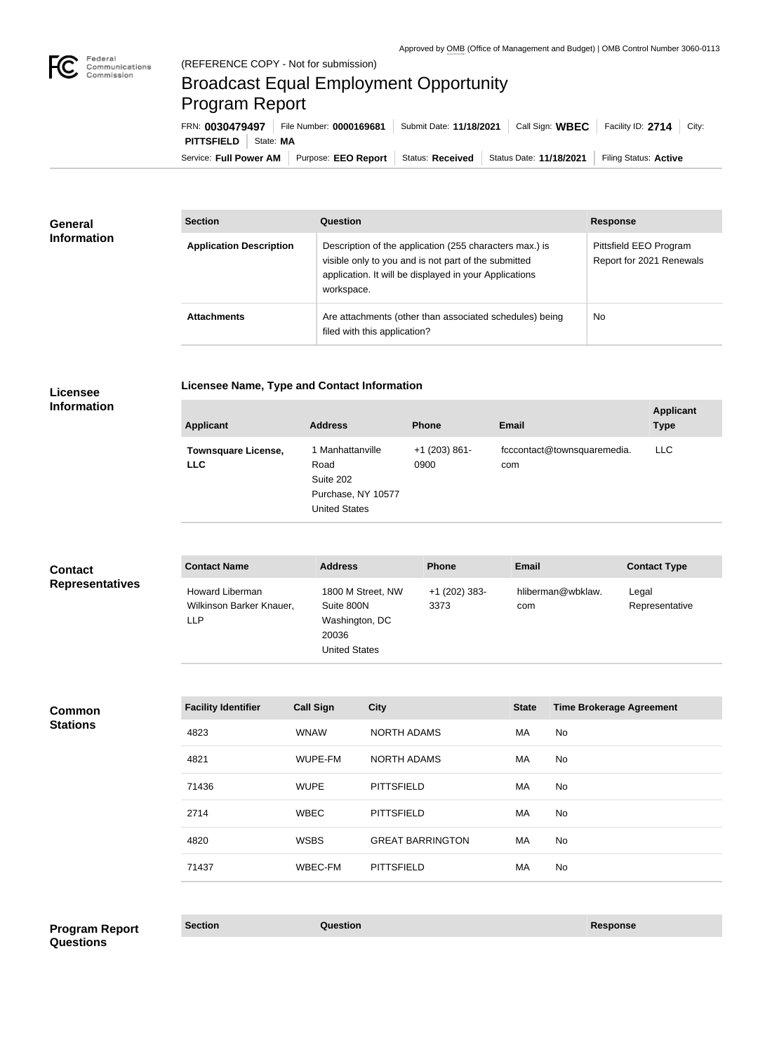

## Broadcast Equal Employment Opportunity Program Report

Service: Full Power AM | Purpose: EEO Report | Status: Received | Status Date: 11/18/2021 | Filing Status: Active **PITTSFIELD** State: MA FRN: **0030479497** File Number: **0000169681** Submit Date: **11/18/2021** Call Sign: **WBEC** Facility ID: **2714** City:

| <b>General</b><br><b>Information</b> | <b>Section</b>                 | Question                                                                                                                                                                                | <b>Response</b>                                    |
|--------------------------------------|--------------------------------|-----------------------------------------------------------------------------------------------------------------------------------------------------------------------------------------|----------------------------------------------------|
|                                      | <b>Application Description</b> | Description of the application (255 characters max.) is<br>visible only to you and is not part of the submitted<br>application. It will be displayed in your Applications<br>workspace. | Pittsfield EEO Program<br>Report for 2021 Renewals |
|                                      | <b>Attachments</b>             | Are attachments (other than associated schedules) being<br>filed with this application?                                                                                                 | <b>No</b>                                          |

**Licensee** 

## **Licensee Name, Type and Contact Information**

**Information**

| <b>Applicant</b>                         | <b>Address</b>                                                                      | <b>Phone</b>            | <b>Email</b>                       | <b>Applicant</b><br><b>Type</b> |
|------------------------------------------|-------------------------------------------------------------------------------------|-------------------------|------------------------------------|---------------------------------|
| <b>Townsquare License,</b><br><b>LLC</b> | 1 Manhattanville<br>Road<br>Suite 202<br>Purchase, NY 10577<br><b>United States</b> | $+1$ (203) 861-<br>0900 | fcccontact@townsquaremedia.<br>com | <b>LLC</b>                      |

| <b>Contact</b>         | <b>Contact Name</b>                                              | <b>Address</b>                                                                     | <b>Phone</b>            | <b>Email</b>             | <b>Contact Type</b>     |
|------------------------|------------------------------------------------------------------|------------------------------------------------------------------------------------|-------------------------|--------------------------|-------------------------|
| <b>Representatives</b> | <b>Howard Liberman</b><br>Wilkinson Barker Knauer,<br><b>LLP</b> | 1800 M Street, NW<br>Suite 800N<br>Washington, DC<br>20036<br><b>United States</b> | $+1$ (202) 383-<br>3373 | hliberman@wbklaw.<br>com | Legal<br>Representative |

**Common Stations**

| <b>Facility Identifier</b> | <b>Call Sign</b> | <b>City</b>             | <b>State</b> | <b>Time Brokerage Agreement</b> |
|----------------------------|------------------|-------------------------|--------------|---------------------------------|
| 4823                       | <b>WNAW</b>      | <b>NORTH ADAMS</b>      | МA           | No                              |
| 4821                       | WUPE-FM          | <b>NORTH ADAMS</b>      | МA           | No                              |
| 71436                      | <b>WUPE</b>      | <b>PITTSFIELD</b>       | <b>MA</b>    | No                              |
| 2714                       | <b>WBEC</b>      | <b>PITTSFIELD</b>       | <b>MA</b>    | No                              |
| 4820                       | <b>WSBS</b>      | <b>GREAT BARRINGTON</b> | MA           | No                              |
| 71437                      | WBEC-FM          | <b>PITTSFIELD</b>       | MA           | No.                             |

**Section Question Response Program Report Questions**